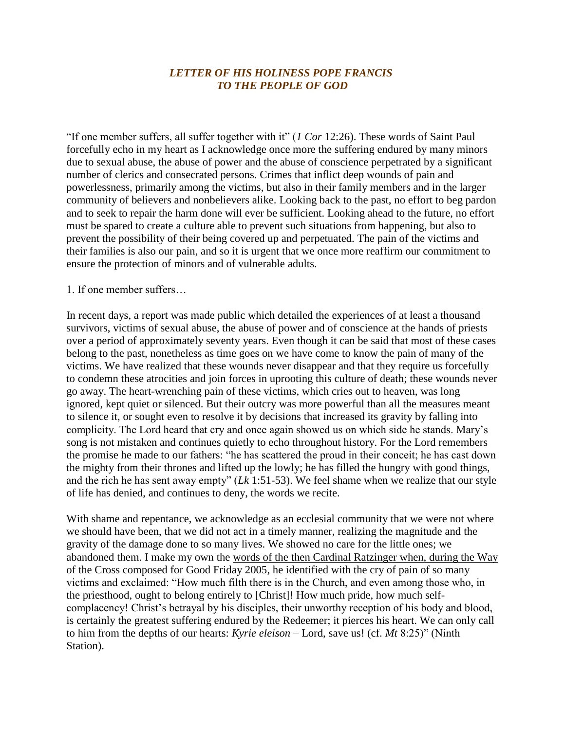## *LETTER OF HIS HOLINESS POPE FRANCIS TO THE PEOPLE OF GOD*

"If one member suffers, all suffer together with it" (*1 Cor* 12:26). These words of Saint Paul forcefully echo in my heart as I acknowledge once more the suffering endured by many minors due to sexual abuse, the abuse of power and the abuse of conscience perpetrated by a significant number of clerics and consecrated persons. Crimes that inflict deep wounds of pain and powerlessness, primarily among the victims, but also in their family members and in the larger community of believers and nonbelievers alike. Looking back to the past, no effort to beg pardon and to seek to repair the harm done will ever be sufficient. Looking ahead to the future, no effort must be spared to create a culture able to prevent such situations from happening, but also to prevent the possibility of their being covered up and perpetuated. The pain of the victims and their families is also our pain, and so it is urgent that we once more reaffirm our commitment to ensure the protection of minors and of vulnerable adults.

## 1. If one member suffers…

In recent days, a report was made public which detailed the experiences of at least a thousand survivors, victims of sexual abuse, the abuse of power and of conscience at the hands of priests over a period of approximately seventy years. Even though it can be said that most of these cases belong to the past, nonetheless as time goes on we have come to know the pain of many of the victims. We have realized that these wounds never disappear and that they require us forcefully to condemn these atrocities and join forces in uprooting this culture of death; these wounds never go away. The heart-wrenching pain of these victims, which cries out to heaven, was long ignored, kept quiet or silenced. But their outcry was more powerful than all the measures meant to silence it, or sought even to resolve it by decisions that increased its gravity by falling into complicity. The Lord heard that cry and once again showed us on which side he stands. Mary's song is not mistaken and continues quietly to echo throughout history. For the Lord remembers the promise he made to our fathers: "he has scattered the proud in their conceit; he has cast down the mighty from their thrones and lifted up the lowly; he has filled the hungry with good things, and the rich he has sent away empty" (*Lk* 1:51-53). We feel shame when we realize that our style of life has denied, and continues to deny, the words we recite.

With shame and repentance, we acknowledge as an ecclesial community that we were not where we should have been, that we did not act in a timely manner, realizing the magnitude and the gravity of the damage done to so many lives. We showed no care for the little ones; we abandoned them. I make my own the [words of the then Cardinal Ratzinger](http://www.vatican.va/news_services/liturgy/2005/via_crucis/en/station_09.html) when, during the Way [of the Cross composed for Good Friday 2005,](http://www.vatican.va/news_services/liturgy/2005/via_crucis/en/station_09.html) he identified with the cry of pain of so many victims and exclaimed: "How much filth there is in the Church, and even among those who, in the priesthood, ought to belong entirely to [Christ]! How much pride, how much selfcomplacency! Christ's betrayal by his disciples, their unworthy reception of his body and blood, is certainly the greatest suffering endured by the Redeemer; it pierces his heart. We can only call to him from the depths of our hearts: *Kyrie eleison* – Lord, save us! (cf. *Mt* 8:25)" (Ninth Station).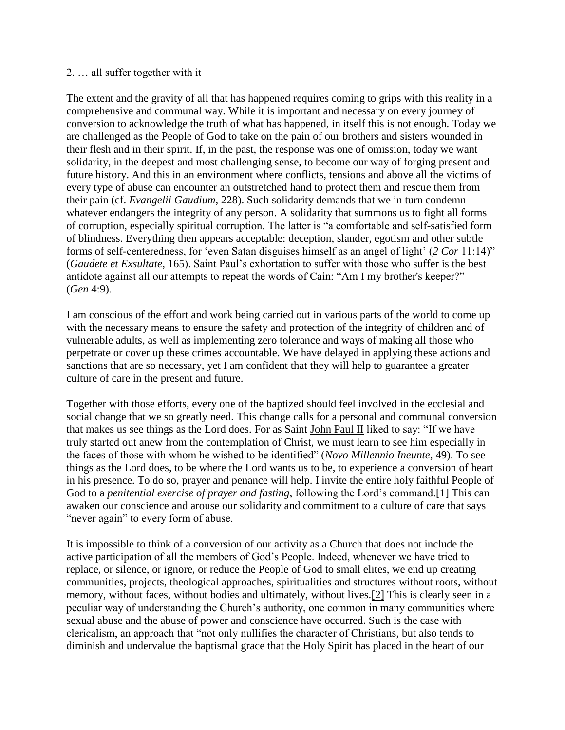## 2. … all suffer together with it

The extent and the gravity of all that has happened requires coming to grips with this reality in a comprehensive and communal way. While it is important and necessary on every journey of conversion to acknowledge the truth of what has happened, in itself this is not enough. Today we are challenged as the People of God to take on the pain of our brothers and sisters wounded in their flesh and in their spirit. If, in the past, the response was one of omission, today we want solidarity, in the deepest and most challenging sense, to become our way of forging present and future history. And this in an environment where conflicts, tensions and above all the victims of every type of abuse can encounter an outstretched hand to protect them and rescue them from their pain (cf. *[Evangelii Gaudium](http://w2.vatican.va/content/francesco/en/apost_exhortations/documents/papa-francesco_esortazione-ap_20131124_evangelii-gaudium.html#Unity_prevails_over_conflict)*, 228). Such solidarity demands that we in turn condemn whatever endangers the integrity of any person. A solidarity that summons us to fight all forms of corruption, especially spiritual corruption. The latter is "a comfortable and self-satisfied form of blindness. Everything then appears acceptable: deception, slander, egotism and other subtle forms of self-centeredness, for 'even Satan disguises himself as an angel of light' (*2 Cor* 11:14)" (*[Gaudete et Exsultate](http://w2.vatican.va/content/francesco/en/apost_exhortations/documents/papa-francesco_esortazione-ap_20180319_gaudete-et-exsultate.html#Spiritual_corruption)*, 165). Saint Paul's exhortation to suffer with those who suffer is the best antidote against all our attempts to repeat the words of Cain: "Am I my brother's keeper?" (*Gen* 4:9).

I am conscious of the effort and work being carried out in various parts of the world to come up with the necessary means to ensure the safety and protection of the integrity of children and of vulnerable adults, as well as implementing zero tolerance and ways of making all those who perpetrate or cover up these crimes accountable. We have delayed in applying these actions and sanctions that are so necessary, yet I am confident that they will help to guarantee a greater culture of care in the present and future.

Together with those efforts, every one of the baptized should feel involved in the ecclesial and social change that we so greatly need. This change calls for a personal and communal conversion that makes us see things as the Lord does. For as Saint [John Paul II](https://w2.vatican.va/content/john-paul-ii/en.html) liked to say: "If we have truly started out anew from the contemplation of Christ, we must learn to see him especially in the faces of those with whom he wished to be identified" (*[Novo Millennio Ineunte](https://w2.vatican.va/content/john-paul-ii/en/apost_letters/2001/documents/hf_jp-ii_apl_20010106_novo-millennio-ineunte.html)*, 49). To see things as the Lord does, to be where the Lord wants us to be, to experience a conversion of heart in his presence. To do so, prayer and penance will help. I invite the entire holy faithful People of God to a *penitential exercise of prayer and fasting*, following the Lord's command[.\[1\]](http://w2.vatican.va/content/francesco/en/letters/2018/documents/papa-francesco_20180820_lettera-popolo-didio.html#_ftn1) This can awaken our conscience and arouse our solidarity and commitment to a culture of care that says "never again" to every form of abuse.

It is impossible to think of a conversion of our activity as a Church that does not include the active participation of all the members of God's People. Indeed, whenever we have tried to replace, or silence, or ignore, or reduce the People of God to small elites, we end up creating communities, projects, theological approaches, spiritualities and structures without roots, without memory, without faces, without bodies and ultimately, without lives[.\[2\]](http://w2.vatican.va/content/francesco/en/letters/2018/documents/papa-francesco_20180820_lettera-popolo-didio.html#_ftn2) This is clearly seen in a peculiar way of understanding the Church's authority, one common in many communities where sexual abuse and the abuse of power and conscience have occurred. Such is the case with clericalism, an approach that "not only nullifies the character of Christians, but also tends to diminish and undervalue the baptismal grace that the Holy Spirit has placed in the heart of our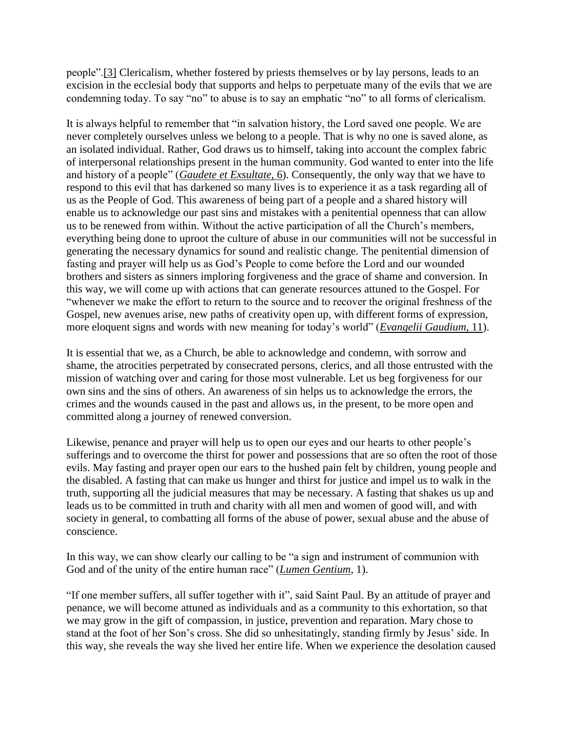people"[.\[3\]](http://w2.vatican.va/content/francesco/en/letters/2018/documents/papa-francesco_20180820_lettera-popolo-didio.html#_ftn3) Clericalism, whether fostered by priests themselves or by lay persons, leads to an excision in the ecclesial body that supports and helps to perpetuate many of the evils that we are condemning today. To say "no" to abuse is to say an emphatic "no" to all forms of clericalism.

It is always helpful to remember that "in salvation history, the Lord saved one people. We are never completely ourselves unless we belong to a people. That is why no one is saved alone, as an isolated individual. Rather, God draws us to himself, taking into account the complex fabric of interpersonal relationships present in the human community. God wanted to enter into the life and history of a people" (*[Gaudete et Exsultate](http://w2.vatican.va/content/francesco/en/apost_exhortations/documents/papa-francesco_esortazione-ap_20180319_gaudete-et-exsultate.html#THE_SAINTS_%E2%80%9CNEXT_DOOR%E2%80%9D)*, 6). Consequently, the only way that we have to respond to this evil that has darkened so many lives is to experience it as a task regarding all of us as the People of God. This awareness of being part of a people and a shared history will enable us to acknowledge our past sins and mistakes with a penitential openness that can allow us to be renewed from within. Without the active participation of all the Church's members, everything being done to uproot the culture of abuse in our communities will not be successful in generating the necessary dynamics for sound and realistic change. The penitential dimension of fasting and prayer will help us as God's People to come before the Lord and our wounded brothers and sisters as sinners imploring forgiveness and the grace of shame and conversion. In this way, we will come up with actions that can generate resources attuned to the Gospel. For "whenever we make the effort to return to the source and to recover the original freshness of the Gospel, new avenues arise, new paths of creativity open up, with different forms of expression, more eloquent signs and words with new meaning for today's world" (*[Evangelii Gaudium](http://w2.vatican.va/content/francesco/en/apost_exhortations/documents/papa-francesco_esortazione-ap_20131124_evangelii-gaudium.html#Eternal_newness)*, 11).

It is essential that we, as a Church, be able to acknowledge and condemn, with sorrow and shame, the atrocities perpetrated by consecrated persons, clerics, and all those entrusted with the mission of watching over and caring for those most vulnerable. Let us beg forgiveness for our own sins and the sins of others. An awareness of sin helps us to acknowledge the errors, the crimes and the wounds caused in the past and allows us, in the present, to be more open and committed along a journey of renewed conversion.

Likewise, penance and prayer will help us to open our eyes and our hearts to other people's sufferings and to overcome the thirst for power and possessions that are so often the root of those evils. May fasting and prayer open our ears to the hushed pain felt by children, young people and the disabled. A fasting that can make us hunger and thirst for justice and impel us to walk in the truth, supporting all the judicial measures that may be necessary. A fasting that shakes us up and leads us to be committed in truth and charity with all men and women of good will, and with society in general, to combatting all forms of the abuse of power, sexual abuse and the abuse of conscience.

In this way, we can show clearly our calling to be "a sign and instrument of communion with God and of the unity of the entire human race" (*[Lumen Gentium](http://www.vatican.va/archive/hist_councils/ii_vatican_council/documents/vat-ii_const_19641121_lumen-gentium_en.html)*, 1).

"If one member suffers, all suffer together with it", said Saint Paul. By an attitude of prayer and penance, we will become attuned as individuals and as a community to this exhortation, so that we may grow in the gift of compassion, in justice, prevention and reparation. Mary chose to stand at the foot of her Son's cross. She did so unhesitatingly, standing firmly by Jesus' side. In this way, she reveals the way she lived her entire life. When we experience the desolation caused